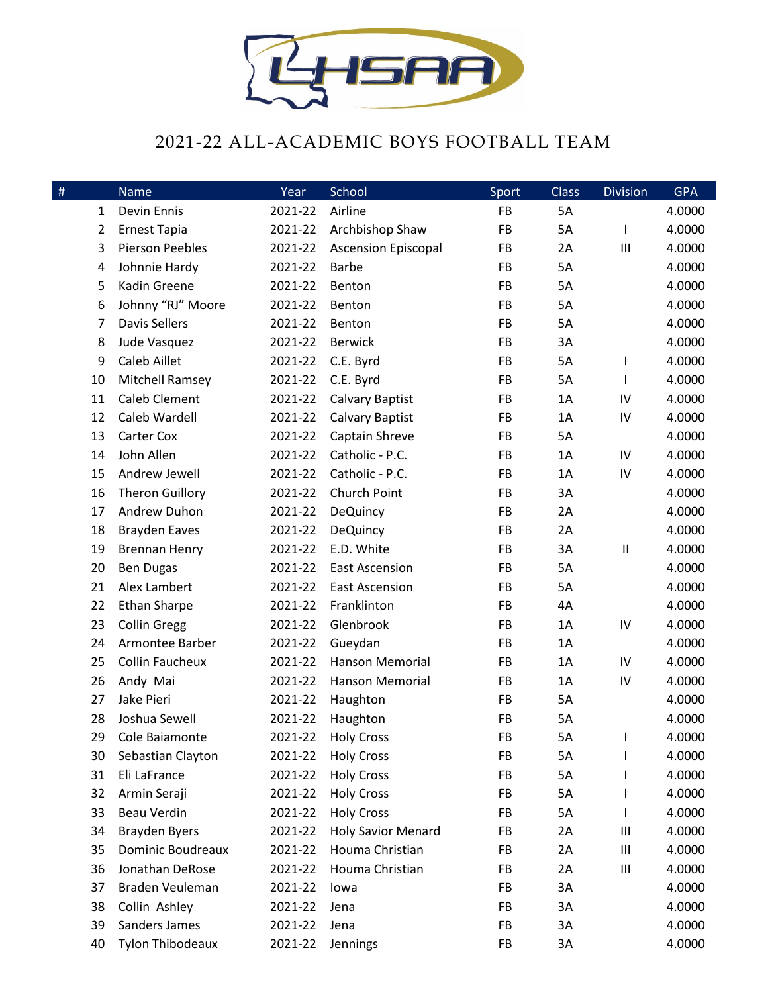

## 2021-22 ALL-ACADEMIC BOYS FOOTBALL TEAM

| $\#$           | Name                    | Year    | School                     | Sport | <b>Class</b> | <b>Division</b>                    | <b>GPA</b> |
|----------------|-------------------------|---------|----------------------------|-------|--------------|------------------------------------|------------|
| 1              | Devin Ennis             | 2021-22 | Airline                    | FB    | 5A           |                                    | 4.0000     |
| $\overline{2}$ | <b>Ernest Tapia</b>     | 2021-22 | Archbishop Shaw            | FB    | 5A           | I                                  | 4.0000     |
| 3              | <b>Pierson Peebles</b>  | 2021-22 | <b>Ascension Episcopal</b> | FB    | 2A           | $\mathbf{III}$                     | 4.0000     |
| 4              | Johnnie Hardy           | 2021-22 | <b>Barbe</b>               | FB    | 5A           |                                    | 4.0000     |
| 5              | Kadin Greene            | 2021-22 | Benton                     | FB    | 5A           |                                    | 4.0000     |
| 6              | Johnny "RJ" Moore       | 2021-22 | Benton                     | FB    | 5A           |                                    | 4.0000     |
| 7              | <b>Davis Sellers</b>    | 2021-22 | Benton                     | FB    | 5A           |                                    | 4.0000     |
| 8              | Jude Vasquez            | 2021-22 | <b>Berwick</b>             | FB    | 3A           |                                    | 4.0000     |
| 9              | <b>Caleb Aillet</b>     | 2021-22 | C.E. Byrd                  | FB    | 5A           | I                                  | 4.0000     |
| 10             | <b>Mitchell Ramsey</b>  | 2021-22 | C.E. Byrd                  | FB    | 5A           | $\mathbf{I}$                       | 4.0000     |
| 11             | <b>Caleb Clement</b>    | 2021-22 | <b>Calvary Baptist</b>     | FB    | 1A           | IV                                 | 4.0000     |
| 12             | Caleb Wardell           | 2021-22 | <b>Calvary Baptist</b>     | FB    | 1A           | IV                                 | 4.0000     |
| 13             | Carter Cox              | 2021-22 | Captain Shreve             | FB    | 5A           |                                    | 4.0000     |
| 14             | John Allen              | 2021-22 | Catholic - P.C.            | FB    | 1A           | IV                                 | 4.0000     |
| 15             | Andrew Jewell           | 2021-22 | Catholic - P.C.            | FB    | 1A           | IV                                 | 4.0000     |
| 16             | <b>Theron Guillory</b>  | 2021-22 | Church Point               | FB    | 3A           |                                    | 4.0000     |
| 17             | Andrew Duhon            | 2021-22 | <b>DeQuincy</b>            | FB    | 2A           |                                    | 4.0000     |
| 18             | <b>Brayden Eaves</b>    | 2021-22 | <b>DeQuincy</b>            | FB    | 2A           |                                    | 4.0000     |
| 19             | <b>Brennan Henry</b>    | 2021-22 | E.D. White                 | FB    | 3A           | $\sf II$                           | 4.0000     |
| 20             | <b>Ben Dugas</b>        | 2021-22 | <b>East Ascension</b>      | FB    | 5A           |                                    | 4.0000     |
| 21             | Alex Lambert            | 2021-22 | <b>East Ascension</b>      | FB    | 5A           |                                    | 4.0000     |
| 22             | <b>Ethan Sharpe</b>     | 2021-22 | Franklinton                | FB    | 4A           |                                    | 4.0000     |
| 23             | <b>Collin Gregg</b>     | 2021-22 | Glenbrook                  | FB    | 1A           | IV                                 | 4.0000     |
| 24             | Armontee Barber         | 2021-22 | Gueydan                    | FB    | 1A           |                                    | 4.0000     |
| 25             | <b>Collin Faucheux</b>  | 2021-22 | <b>Hanson Memorial</b>     | FB    | 1A           | IV                                 | 4.0000     |
| 26             | Andy Mai                | 2021-22 | Hanson Memorial            | FB    | 1A           | IV                                 | 4.0000     |
| 27             | Jake Pieri              | 2021-22 | Haughton                   | FB    | 5A           |                                    | 4.0000     |
| 28             | Joshua Sewell           | 2021-22 | Haughton                   | FB    | 5A           |                                    | 4.0000     |
| 29             | Cole Baiamonte          | 2021-22 | <b>Holy Cross</b>          | FB    | 5A           |                                    | 4.0000     |
| 30             | Sebastian Clayton       | 2021-22 | <b>Holy Cross</b>          | FB    | 5A           |                                    | 4.0000     |
| 31             | Eli LaFrance            | 2021-22 | <b>Holy Cross</b>          | FB    | 5A           |                                    | 4.0000     |
| 32             | Armin Seraji            | 2021-22 | <b>Holy Cross</b>          | FB    | 5A           |                                    | 4.0000     |
| 33             | <b>Beau Verdin</b>      | 2021-22 | <b>Holy Cross</b>          | FB    | 5A           |                                    | 4.0000     |
| 34             | Brayden Byers           | 2021-22 | <b>Holy Savior Menard</b>  | FB    | 2A           | Ш                                  | 4.0000     |
| 35             | Dominic Boudreaux       | 2021-22 | Houma Christian            | FB    | 2A           | Ш                                  | 4.0000     |
| 36             | Jonathan DeRose         | 2021-22 | Houma Christian            | FB    | 2A           | $\ensuremath{\mathsf{III}}\xspace$ | 4.0000     |
| 37             | Braden Veuleman         | 2021-22 | lowa                       | FB    | 3A           |                                    | 4.0000     |
| 38             | Collin Ashley           | 2021-22 | Jena                       | FB    | 3A           |                                    | 4.0000     |
| 39             | Sanders James           | 2021-22 | Jena                       | FB    | 3A           |                                    | 4.0000     |
| 40             | <b>Tylon Thibodeaux</b> | 2021-22 | Jennings                   | FB    | 3A           |                                    | 4.0000     |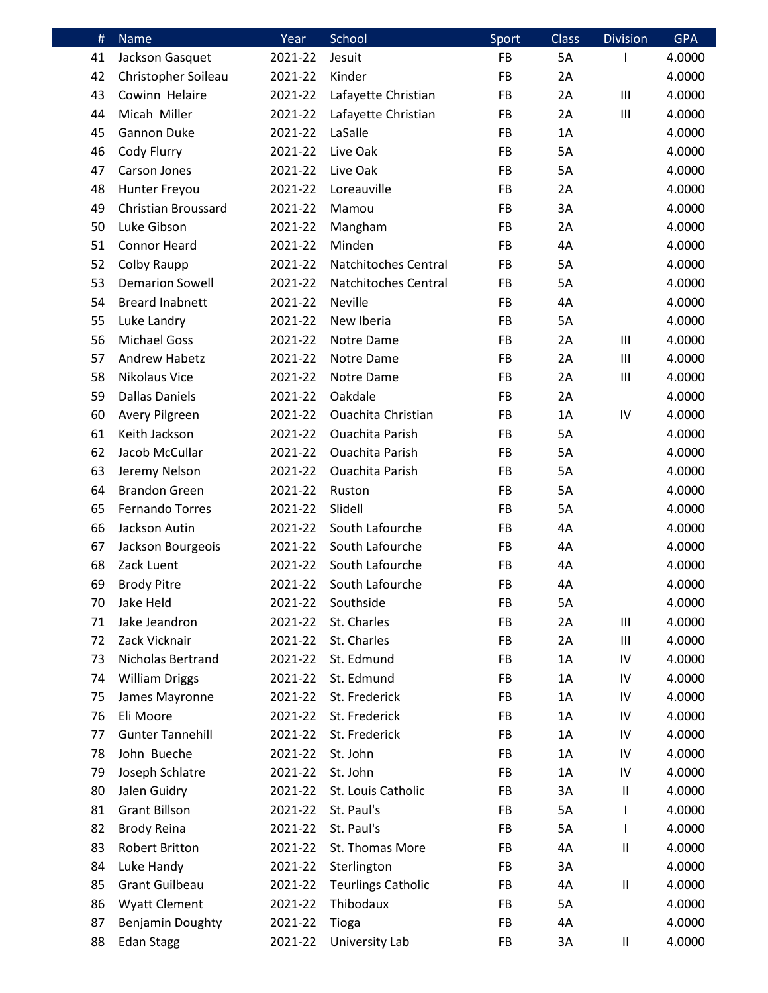| #  | <b>Name</b>             | Year    | School                    | Sport     | <b>Class</b> | <b>Division</b>            | <b>GPA</b> |
|----|-------------------------|---------|---------------------------|-----------|--------------|----------------------------|------------|
| 41 | Jackson Gasquet         | 2021-22 | Jesuit                    | <b>FB</b> | 5A           | I                          | 4.0000     |
| 42 | Christopher Soileau     | 2021-22 | Kinder                    | FB        | 2A           |                            | 4.0000     |
| 43 | Cowinn Helaire          | 2021-22 | Lafayette Christian       | FB        | 2A           | III                        | 4.0000     |
| 44 | Micah Miller            | 2021-22 | Lafayette Christian       | FB        | 2A           | Ш                          | 4.0000     |
| 45 | Gannon Duke             | 2021-22 | LaSalle                   | <b>FB</b> | 1A           |                            | 4.0000     |
| 46 | Cody Flurry             | 2021-22 | Live Oak                  | FB        | 5A           |                            | 4.0000     |
| 47 | Carson Jones            | 2021-22 | Live Oak                  | <b>FB</b> | 5A           |                            | 4.0000     |
| 48 | Hunter Freyou           | 2021-22 | Loreauville               | FB        | 2A           |                            | 4.0000     |
| 49 | Christian Broussard     | 2021-22 | Mamou                     | <b>FB</b> | 3A           |                            | 4.0000     |
| 50 | Luke Gibson             | 2021-22 | Mangham                   | FB        | 2A           |                            | 4.0000     |
| 51 | <b>Connor Heard</b>     | 2021-22 | Minden                    | <b>FB</b> | 4A           |                            | 4.0000     |
| 52 | Colby Raupp             | 2021-22 | Natchitoches Central      | FB        | 5A           |                            | 4.0000     |
| 53 | <b>Demarion Sowell</b>  | 2021-22 | Natchitoches Central      | <b>FB</b> | 5A           |                            | 4.0000     |
| 54 | <b>Breard Inabnett</b>  | 2021-22 | <b>Neville</b>            | FB        | 4A           |                            | 4.0000     |
| 55 | Luke Landry             | 2021-22 | New Iberia                | <b>FB</b> | 5A           |                            | 4.0000     |
| 56 | <b>Michael Goss</b>     | 2021-22 | Notre Dame                | FB        | 2A           | Ш                          | 4.0000     |
| 57 | <b>Andrew Habetz</b>    | 2021-22 | Notre Dame                | <b>FB</b> | 2A           | Ш                          | 4.0000     |
| 58 | <b>Nikolaus Vice</b>    | 2021-22 | Notre Dame                | FB        | 2A           | Ш                          | 4.0000     |
| 59 | <b>Dallas Daniels</b>   | 2021-22 | Oakdale                   | <b>FB</b> | 2A           |                            | 4.0000     |
| 60 | Avery Pilgreen          | 2021-22 | <b>Ouachita Christian</b> | FB        | 1A           | IV                         | 4.0000     |
| 61 | Keith Jackson           | 2021-22 | <b>Ouachita Parish</b>    | <b>FB</b> | 5A           |                            | 4.0000     |
| 62 | Jacob McCullar          | 2021-22 | <b>Ouachita Parish</b>    | FB        | 5A           |                            | 4.0000     |
| 63 | Jeremy Nelson           | 2021-22 | <b>Ouachita Parish</b>    | <b>FB</b> | 5A           |                            | 4.0000     |
| 64 | <b>Brandon Green</b>    | 2021-22 | Ruston                    | FB        | 5A           |                            | 4.0000     |
| 65 | <b>Fernando Torres</b>  | 2021-22 | Slidell                   | <b>FB</b> | 5A           |                            | 4.0000     |
| 66 | Jackson Autin           | 2021-22 | South Lafourche           | FB        | 4A           |                            | 4.0000     |
| 67 | Jackson Bourgeois       | 2021-22 | South Lafourche           | <b>FB</b> | 4A           |                            | 4.0000     |
| 68 | Zack Luent              | 2021-22 | South Lafourche           | FB        | 4A           |                            | 4.0000     |
| 69 | <b>Brody Pitre</b>      | 2021-22 | South Lafourche           | FB        | 4A           |                            | 4.0000     |
| 70 | Jake Held               | 2021-22 | Southside                 | FB        | 5A           |                            | 4.0000     |
| 71 | Jake Jeandron           | 2021-22 | St. Charles               | <b>FB</b> | 2A           | Ш                          | 4.0000     |
| 72 | Zack Vicknair           | 2021-22 | St. Charles               | FB        | 2A           | Ш                          | 4.0000     |
| 73 | Nicholas Bertrand       | 2021-22 | St. Edmund                | <b>FB</b> | 1A           | IV                         | 4.0000     |
| 74 | <b>William Driggs</b>   | 2021-22 | St. Edmund                | FB        | 1A           | IV                         | 4.0000     |
| 75 | James Mayronne          | 2021-22 | St. Frederick             | FB        | 1A           | IV                         | 4.0000     |
| 76 | Eli Moore               | 2021-22 | St. Frederick             | FB        | 1A           | IV                         | 4.0000     |
| 77 | <b>Gunter Tannehill</b> | 2021-22 | St. Frederick             | <b>FB</b> | 1A           | IV                         | 4.0000     |
| 78 | John Bueche             | 2021-22 | St. John                  | FB        | 1A           | IV                         | 4.0000     |
| 79 | Joseph Schlatre         | 2021-22 | St. John                  | FB        | 1A           | IV                         | 4.0000     |
| 80 | Jalen Guidry            | 2021-22 | St. Louis Catholic        | FB        | 3A           | Ш                          | 4.0000     |
| 81 | <b>Grant Billson</b>    | 2021-22 | St. Paul's                | FB        | 5A           | I                          | 4.0000     |
| 82 | <b>Brody Reina</b>      | 2021-22 | St. Paul's                | FB        | 5A           | L                          | 4.0000     |
| 83 | <b>Robert Britton</b>   | 2021-22 | St. Thomas More           | FB        | 4A           | $\mathbf{II}$              | 4.0000     |
| 84 | Luke Handy              | 2021-22 | Sterlington               | FB        | 3A           |                            | 4.0000     |
| 85 | <b>Grant Guilbeau</b>   | 2021-22 | <b>Teurlings Catholic</b> | FB        | 4A           | $\ensuremath{\mathsf{II}}$ | 4.0000     |
| 86 | <b>Wyatt Clement</b>    | 2021-22 | Thibodaux                 | FB        | 5A           |                            | 4.0000     |
| 87 | Benjamin Doughty        | 2021-22 | Tioga                     | FB        | 4A           |                            | 4.0000     |
| 88 | <b>Edan Stagg</b>       | 2021-22 | University Lab            | FB        | 3A           | $\mathsf{II}$              | 4.0000     |